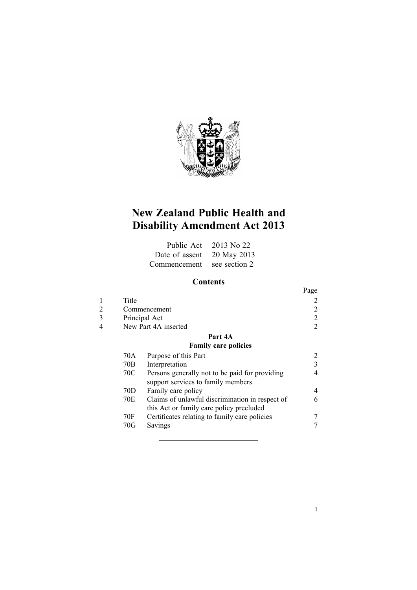

# **New Zealand Public Health and Disability Amendment Act 2013**

|                            | Public Act $2013$ No 22 |
|----------------------------|-------------------------|
| Date of assent 20 May 2013 |                         |
| Commencement see section 2 |                         |

## **Contents**

|   |                      |                                                                                      | Page           |
|---|----------------------|--------------------------------------------------------------------------------------|----------------|
|   | Title                |                                                                                      |                |
|   |                      | Commencement                                                                         | 2              |
| 3 |                      | Principal Act                                                                        | 2              |
|   | New Part 4A inserted |                                                                                      | $\overline{2}$ |
|   |                      | Part 4A                                                                              |                |
|   |                      | <b>Family care policies</b>                                                          |                |
|   | 70A                  | Purpose of this Part                                                                 | 2              |
|   | 70B                  | Interpretation                                                                       | 3              |
|   | 70C                  | Persons generally not to be paid for providing<br>support services to family members | 4              |
|   | 70D                  | Family care policy                                                                   | 4              |
|   | 70E                  | Claims of unlawful discrimination in respect of                                      | 6              |
|   |                      | this Act or family care policy precluded                                             |                |
|   | 70F                  | Certificates relating to family care policies                                        |                |
|   | 70G                  | Savings                                                                              |                |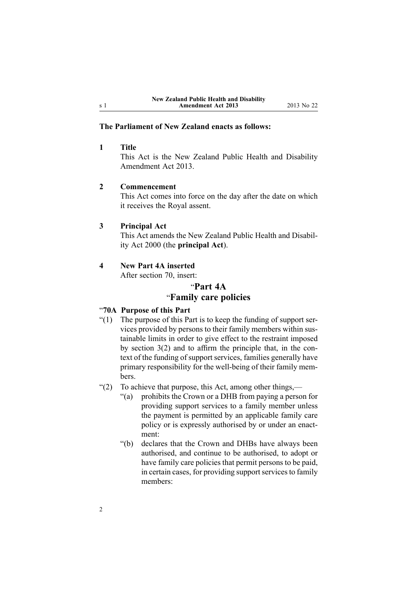## **The Parliament of New Zealand enacts as follows:**

## **1 Title**

This Act is the New Zealand Public Health and Disability Amendment Act 2013.

## **2 Commencement**

This Act comes into force on the day after the date on which it receives the Royal assent.

## **3 Principal Act**

This Act amends the New [Zealand](http://www.legislation.govt.nz/pdflink.aspx?id=DLM80050) Public Health and Disability Act [2000](http://www.legislation.govt.nz/pdflink.aspx?id=DLM80050) (the **principal Act**).

#### **4 New Part 4A inserted**

After [section](http://www.legislation.govt.nz/pdflink.aspx?id=DLM81258) 70, insert:

## "**Part 4A**

## "**Family care policies**

## "**70A Purpose of this Part**

- "(1) The purpose of this Part is to keep the funding of suppor<sup>t</sup> services provided by persons to their family members within sustainable limits in order to give effect to the restraint imposed by section 3(2) and to affirm the principle that, in the context of the funding of suppor<sup>t</sup> services, families generally have primary responsibility for the well-being of their family members.
- "(2) To achieve that purpose, this Act, among other things,—
	- "(a) prohibits the Crown or <sup>a</sup> DHB from paying <sup>a</sup> person for providing suppor<sup>t</sup> services to <sup>a</sup> family member unless the paymen<sup>t</sup> is permitted by an applicable family care policy or is expressly authorised by or under an enactment:
	- "(b) declares that the Crown and DHBs have always been authorised, and continue to be authorised, to adopt or have family care policies that permit persons to be paid, in certain cases, for providing support services to family members:

<span id="page-1-0"></span><sup>s</sup> 1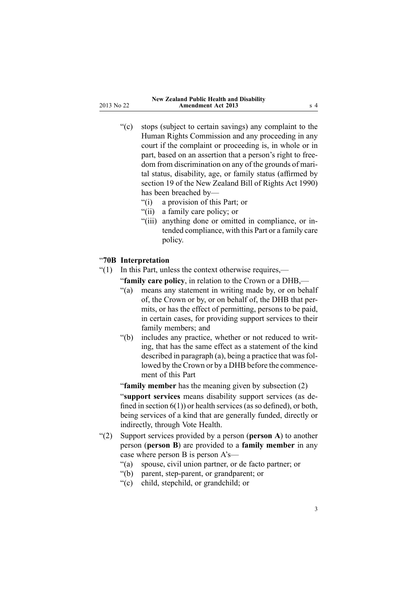- <span id="page-2-0"></span>"(c) stops (subject to certain savings) any complaint to the Human Rights Commission and any proceeding in any court if the complaint or proceeding is, in whole or in part, based on an assertion that <sup>a</sup> person's right to freedom from discrimination on any of the grounds of marital status, disability, age, or family status (affirmed by section 19 of the New Zealand Bill of Rights Act 1990) has been breached by—
	- "(i) <sup>a</sup> provision of this Part; or
	- "(ii) <sup>a</sup> family care policy; or
	- "(iii) anything done or omitted in compliance, or intended compliance, with this Part or <sup>a</sup> family care policy.

## "**70B Interpretation**

- "(1) In this Part, unless the context otherwise requires,—
	- "**family care policy**, in relation to the Crown or <sup>a</sup> DHB,—
		- "(a) means any statement in writing made by, or on behalf of, the Crown or by, or on behalf of, the DHB that permits, or has the effect of permitting, persons to be paid, in certain cases, for providing suppor<sup>t</sup> services to their family members; and
		- "(b) includes any practice, whether or not reduced to writing, that has the same effect as <sup>a</sup> statement of the kind described in paragraph  $(a)$ , being a practice that was followed by the Crown or by <sup>a</sup> DHB before the commencement of this Part

"**family member** has the meaning given by subsection (2)

"**suppor<sup>t</sup> services** means disability suppor<sup>t</sup> services (as defined in section  $6(1)$ ) or health services (as so defined), or both, being services of <sup>a</sup> kind that are generally funded, directly or indirectly, through Vote Health.

- "(2) Support services provided by <sup>a</sup> person (**person A**) to another person (**person B**) are provided to <sup>a</sup> **family member** in any case where person B is person A's—
	- "(a) spouse, civil union partner, or de facto partner; or
	- "(b) parent, step-parent, or grandparent; or
	- "(c) child, stepchild, or grandchild; or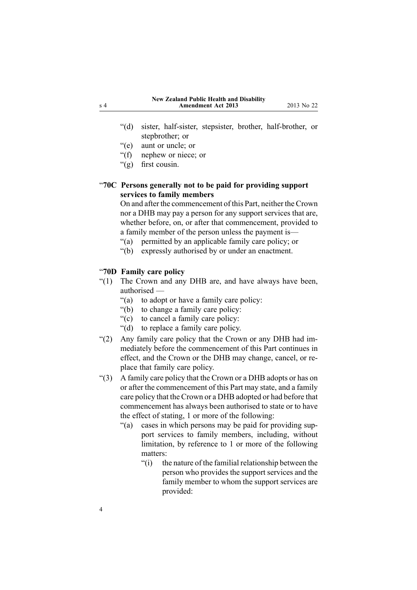- <span id="page-3-0"></span>"(d) sister, half-sister, stepsister, brother, half-brother, or stepbrother; or
- "(e) aunt or uncle; or
- "(f) nephew or niece; or
- "(g) first cousin.

## "**70C Persons generally not to be paid for providing support services to family members**

On and after the commencement of this Part, neither the Crown nor <sup>a</sup> DHB may pay <sup>a</sup> person for any suppor<sup>t</sup> services that are, whether before, on, or after that commencement, provided to <sup>a</sup> family member of the person unless the paymen<sup>t</sup> is—

"(a) permitted by an applicable family care policy; or

"(b) expressly authorised by or under an enactment.

## "**70D Family care policy**

- "(1) The Crown and any DHB are, and have always have been, authorised —
	- "(a) to adopt or have <sup>a</sup> family care policy:
	- "(b) to change <sup>a</sup> family care policy:
	- "(c) to cancel <sup>a</sup> family care policy:
	- "(d) to replace <sup>a</sup> family care policy.
- "(2) Any family care policy that the Crown or any DHB had immediately before the commencement of this Part continues in effect, and the Crown or the DHB may change, cancel, or replace that family care policy.
- "(3) A family care policy that the Crown or <sup>a</sup> DHB adopts or has on or after the commencement of this Part may state, and <sup>a</sup> family care policy that the Crown or <sup>a</sup> DHB adopted or had before that commencement has always been authorised to state or to have the effect of stating, 1 or more of the following:
	- "(a) cases in which persons may be paid for providing suppor<sup>t</sup> services to family members, including, without limitation, by reference to 1 or more of the following matters:
		- "(i) the nature of the familial relationship between the person who provides the suppor<sup>t</sup> services and the family member to whom the suppor<sup>t</sup> services are provided: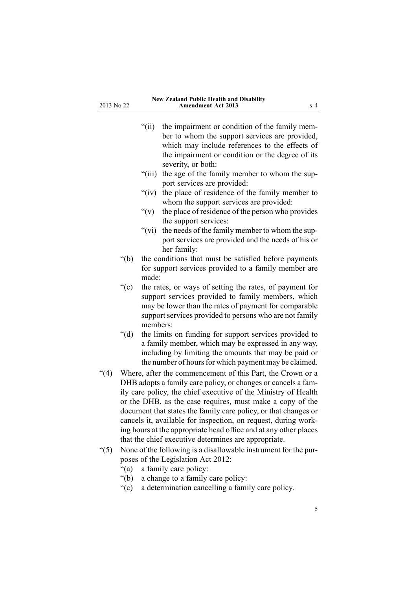- "(ii) the impairment or condition of the family member to whom the suppor<sup>t</sup> services are provided, which may include references to the effects of the impairment or condition or the degree of its severity, or both:
- "(iii) the age of the family member to whom the suppor<sup>t</sup> services are provided:
- "(iv) the place of residence of the family member to whom the suppor<sup>t</sup> services are provided:
- $f'(v)$  the place of residence of the person who provides the suppor<sup>t</sup> services:
- "(vi) the needs of the family member to whom the suppor<sup>t</sup> services are provided and the needs of his or her family:
- "(b) the conditions that must be satisfied before payments for suppor<sup>t</sup> services provided to <sup>a</sup> family member are made:
- "(c) the rates, or ways of setting the rates, of paymen<sup>t</sup> for suppor<sup>t</sup> services provided to family members, which may be lower than the rates of paymen<sup>t</sup> for comparable support services provided to persons who are not family members:
- "(d) the limits on funding for suppor<sup>t</sup> services provided to <sup>a</sup> family member, which may be expressed in any way, including by limiting the amounts that may be paid or the number of hours for which payment may be claimed.
- "(4) Where, after the commencement of this Part, the Crown or <sup>a</sup> DHB adopts <sup>a</sup> family care policy, or changes or cancels <sup>a</sup> family care policy, the chief executive of the Ministry of Health or the DHB, as the case requires, must make <sup>a</sup> copy of the document that states the family care policy, or that changes or cancels it, available for inspection, on request, during working hours at the appropriate head office and at any other places that the chief executive determines are appropriate.
- "(5) None of the following is <sup>a</sup> disallowable instrument for the purposes of the Legislation Act 2012:
	- "(a) <sup>a</sup> family care policy:
	- "(b) <sup>a</sup> change to <sup>a</sup> family care policy:
	- "(c) <sup>a</sup> determination cancelling <sup>a</sup> family care policy.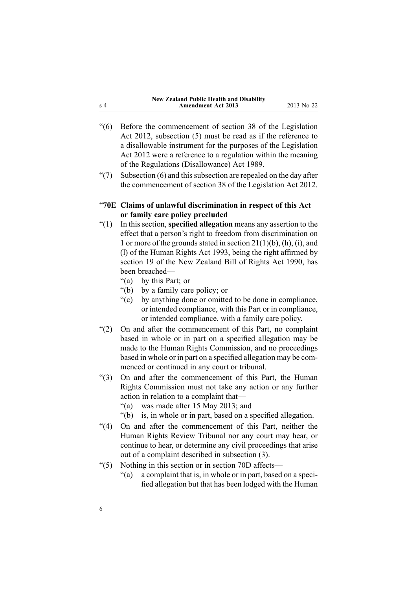| New Zealand Public Health and Disability |            |
|------------------------------------------|------------|
| <b>Amendment Act 2013</b>                | 2013 No 22 |

- <span id="page-5-0"></span>"(6) Before the commencement of section 38 of the Legislation Act 2012, subsection (5) must be read as if the reference to <sup>a</sup> disallowable instrument for the purposes of the Legislation Act 2012 were <sup>a</sup> reference to <sup>a</sup> regulation within the meaning of the Regulations (Disallowance) Act 1989.
- " $(7)$  Subsection  $(6)$  and this subsection are repealed on the day after the commencement of section 38 of the Legislation Act 2012.

## "**70E Claims of unlawful discrimination in respect of this Act or family care policy precluded**

- "(1) In this section, **specified allegation** means any assertion to the effect that <sup>a</sup> person's right to freedom from discrimination on 1 or more of the grounds stated in section  $21(1)(b)$ , (h), (i), and (l) of the Human Rights Act 1993, being the right affirmed by section 19 of the New Zealand Bill of Rights Act 1990, has been breached—
	- "(a) by this Part; or
	- "(b) by <sup>a</sup> family care policy; or
	- "(c) by anything done or omitted to be done in compliance, or intended compliance, with this Part or in compliance, or intended compliance, with <sup>a</sup> family care policy.
- "(2) On and after the commencement of this Part, no complaint based in whole or in par<sup>t</sup> on <sup>a</sup> specified allegation may be made to the Human Rights Commission, and no proceedings based in whole or in par<sup>t</sup> on <sup>a</sup> specified allegation may be commenced or continued in any court or tribunal.
- "(3) On and after the commencement of this Part, the Human Rights Commission must not take any action or any further action in relation to <sup>a</sup> complaint that—
	- "(a) was made after 15 May 2013; and
	- "(b) is, in whole or in part, based on <sup>a</sup> specified allegation.
- "(4) On and after the commencement of this Part, neither the Human Rights Review Tribunal nor any court may hear, or continue to hear, or determine any civil proceedings that arise out of <sup>a</sup> complaint described in subsection (3).
- "(5) Nothing in this section or in section 70D affects—
	- "(a) <sup>a</sup> complaint that is, in whole or in part, based on <sup>a</sup> specified allegation but that has been lodged with the Human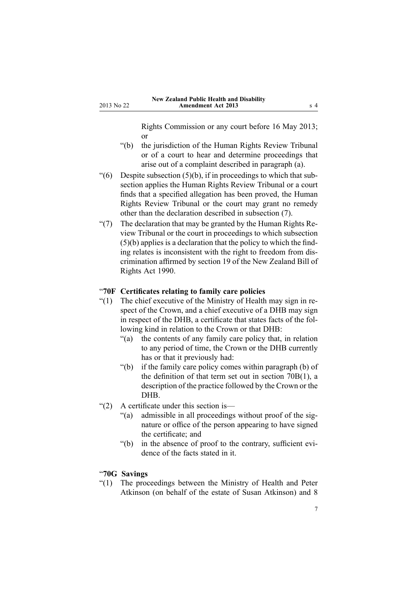Rights Commission or any court before 16 May 2013; or

- <span id="page-6-0"></span>"(b) the jurisdiction of the Human Rights Review Tribunal or of <sup>a</sup> court to hear and determine proceedings that arise out of <sup>a</sup> complaint described in paragraph (a).
- $(6)$  Despite subsection  $(5)(b)$ , if in proceedings to which that subsection applies the Human Rights Review Tribunal or <sup>a</sup> court finds that <sup>a</sup> specified allegation has been proved, the Human Rights Review Tribunal or the court may gran<sup>t</sup> no remedy other than the declaration described in subsection (7).
- "(7) The declaration that may be granted by the Human Rights Review Tribunal or the court in proceedings to which subsection (5)(b) applies is <sup>a</sup> declaration that the policy to which the finding relates is inconsistent with the right to freedom from discrimination affirmed by section 19 of the New Zealand Bill of Rights Act 1990.

#### "**70F Certificates relating to family care policies**

- "(1) The chief executive of the Ministry of Health may sign in respec<sup>t</sup> of the Crown, and <sup>a</sup> chief executive of <sup>a</sup> DHB may sign in respec<sup>t</sup> of the DHB, <sup>a</sup> certificate that states facts of the following kind in relation to the Crown or that DHB:
	- "(a) the contents of any family care policy that, in relation to any period of time, the Crown or the DHB currently has or that it previously had:
	- "(b) if the family care policy comes within paragraph (b) of the definition of that term set out in section 70B(1), <sup>a</sup> description of the practice followed by the Crown or the DHB.
- "(2) A certificate under this section is—
	- "(a) admissible in all proceedings without proof of the signature or office of the person appearing to have signed the certificate; and
	- "(b) in the absence of proof to the contrary, sufficient evidence of the facts stated in it.

#### "**70G Savings**

"(1) The proceedings between the Ministry of Health and Peter Atkinson (on behalf of the estate of Susan Atkinson) and 8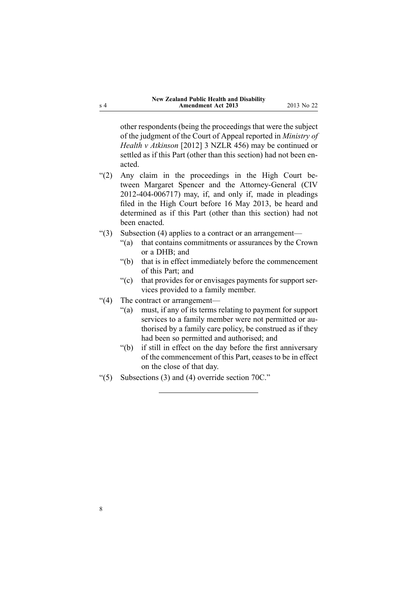other respondents (being the proceedings that were the subject of the judgment of the Court of Appeal reported in *Ministry of Health <sup>v</sup> Atkinson* [2012] 3 NZLR 456) may be continued or settled as if this Part (other than this section) had not been enacted.

- "(2) Any claim in the proceedings in the High Court between Margaret Spencer and the Attorney-General (CIV 2012-404-006717) may, if, and only if, made in pleadings filed in the High Court before 16 May 2013, be heard and determined as if this Part (other than this section) had not been enacted.
- "(3) Subsection (4) applies to <sup>a</sup> contract or an arrangement—
	- "(a) that contains commitments or assurances by the Crown or <sup>a</sup> DHB; and
	- "(b) that is in effect immediately before the commencement of this Part; and
	- "(c) that provides for or envisages payments for suppor<sup>t</sup> services provided to <sup>a</sup> family member.
- "(4) The contract or arrangement—
	- "(a) must, if any of its terms relating to paymen<sup>t</sup> for suppor<sup>t</sup> services to <sup>a</sup> family member were not permitted or authorised by <sup>a</sup> family care policy, be construed as if they had been so permitted and authorised; and
	- "(b) if still in effect on the day before the first anniversary of the commencement of this Part, ceases to be in effect on the close of that day.
- " $(5)$  Subsections (3) and (4) override section 70C."

<sup>s</sup> 4